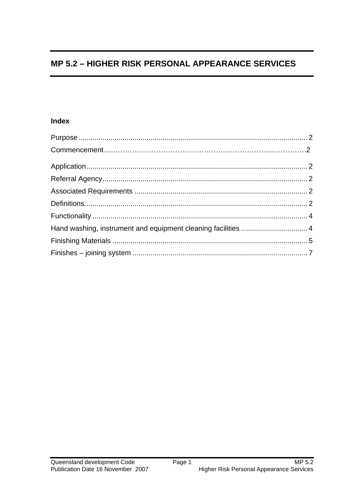# **MP 5.2 - HIGHER RISK PERSONAL APPEARANCE SERVICES**

## **Index**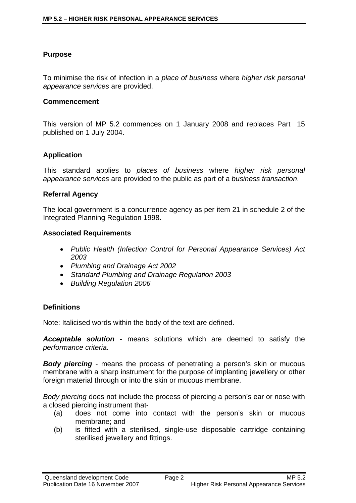## <span id="page-1-0"></span>**Purpose**

To minimise the risk of infection in a *place of business* where *higher risk personal appearance services* are provided.

#### **Commencement**

This version of MP 5.2 commences on 1 January 2008 and replaces Part 15 published on 1 July 2004.

## **Application**

This standard applies to *places of business* where *higher risk personal appearance services* are provided to the public as part of a *business transaction*.

### **Referral Agency**

The local government is a concurrence agency as per item 21 in schedule 2 of the Integrated Planning Regulation 1998.

### **Associated Requirements**

- *Public Health (Infection Control for Personal Appearance Services) Act 2003*
- *Plumbing and Drainage Act 2002*
- *Standard Plumbing and Drainage Regulation 2003*
- *Building Regulation 2006*

## **Definitions**

Note: Italicised words within the body of the text are defined.

*Acceptable solution* - means solutions which are deemed to satisfy the *performance criteria.* 

*Body piercing* - means the process of penetrating a person's skin or mucous membrane with a sharp instrument for the purpose of implanting jewellery or other foreign material through or into the skin or mucous membrane.

*Body piercing* does not include the process of piercing a person's ear or nose with a closed piercing instrument that-

- (a) does not come into contact with the person's skin or mucous membrane; and
- (b) is fitted with a sterilised, single-use disposable cartridge containing sterilised jewellery and fittings.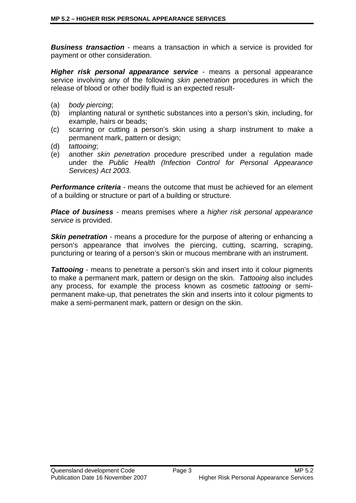*Business transaction* - means a transaction in which a service is provided for payment or other consideration.

*Higher risk personal appearance service* - means a personal appearance service involving any of the following *skin penetration* procedures in which the release of blood or other bodily fluid is an expected result-

- (a) *body piercing*;
- (b) implanting natural or synthetic substances into a person's skin, including, for example, hairs or beads;
- (c) scarring or cutting a person's skin using a sharp instrument to make a permanent mark, pattern or design;
- (d) *tattooing*;
- (e) another *skin penetration* procedure prescribed under a regulation made under the *Public Health (Infection Control for Personal Appearance Services) Act 2003*.

*Performance criteria -* means the outcome that must be achieved for an element of a building or structure or part of a building or structure.

*Place of business* - means premises where a *higher risk personal appearance service* is provided.

**Skin penetration** - means a procedure for the purpose of altering or enhancing a person's appearance that involves the piercing, cutting, scarring, scraping, puncturing or tearing of a person's skin or mucous membrane with an instrument.

*Tattooing* - means to penetrate a person's skin and insert into it colour pigments to make a permanent mark, pattern or design on the skin. *Tattooing* also includes any process, for example the process known as cosmetic *tattooing* or semipermanent make-up, that penetrates the skin and inserts into it colour pigments to make a semi-permanent mark, pattern or design on the skin.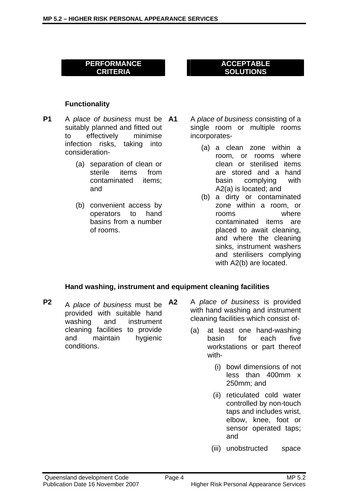#### **ACCEPTABLE SOLUTIONS**

#### <span id="page-3-0"></span>**Functionality**

- **P1** A *place of business* must be suitably planned and fitted out to effectively minimise infection risks, taking into consideration-
	- (a) separation of clean or sterile items from contaminated items; and
	- (b) convenient access by operators to hand basins from a number of rooms.

**A1** A *place of business* consisting of a single room or multiple rooms incorporates-

- (a) a clean zone within a room, or rooms where clean or sterilised items are stored and a hand basin complying with A2(a) is located; and
- (b) a dirty or contaminated zone within a room, or rooms where contaminated items are placed to await cleaning, and where the cleaning sinks, instrument washers and sterilisers complying with A2(b) are located.

#### **Hand washing, instrument and equipment cleaning facilities**

- **P2** A *place of business* must be provided with suitable hand washing and instrument cleaning facilities to provide and maintain hygienic conditions.
- **A2** A *place of business* is provided with hand washing and instrument cleaning facilities which consist of-
	- (a) at least one hand-washing basin for each five workstations or part thereof with-
		- (i) bowl dimensions of not less than 400mm x 250mm; and
		- (ii) reticulated cold water controlled by non-touch taps and includes wrist, elbow, knee, foot or sensor operated taps; and
		- (iii) unobstructed space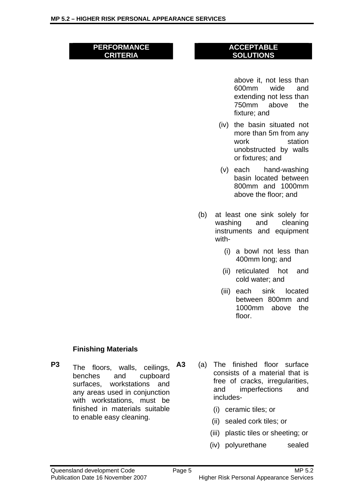#### <span id="page-4-0"></span>**ACCEPTABLE SOLUTIONS**

above it, not less than 600mm wide and extending not less than 750mm above the fixture; and

- (iv) the basin situated not more than 5m from any work station unobstructed by walls or fixtures; and
- (v) each hand-washing basin located between 800mm and 1000mm above the floor; and
- (b) at least one sink solely for washing and cleaning instruments and equipment with-
	- (i) a bowl not less than 400mm long; and
	- (ii) reticulated hot and cold water; and
	- (iii) each sink located between 800mm and 1000mm above the floor.

## **Finishing Materials**

- **P3** The floors, walls, ceilings, benches and cupboard surfaces, workstations and any areas used in conjunction with workstations, must be finished in materials suitable to enable easy cleaning.
	- **A3** (a) The finished floor surface consists of a material that is free of cracks, irregularities, and imperfections and includes-
		- (i) ceramic tiles; or
		- (ii) sealed cork tiles; or
		- (iii) plastic tiles or sheeting; or
		- (iv) polyurethane sealed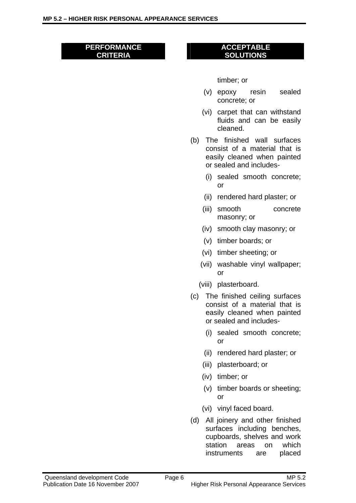#### **ACCEPTABLE SOLUTIONS**

timber; or

- (v) epoxy resin sealed concrete; or
- (vi) carpet that can withstand fluids and can be easily cleaned.
- (b) The finished wall surfaces consist of a material that is easily cleaned when painted or sealed and includes-
	- (i) sealed smooth concrete; or
	- (ii) rendered hard plaster; or
	- (iii) smooth concrete masonry; or
	- (iv) smooth clay masonry; or
	- (v) timber boards; or
	- (vi) timber sheeting; or
	- (vii) washable vinyl wallpaper; or
	- (viii) plasterboard.
- (c) The finished ceiling surfaces consist of a material that is easily cleaned when painted or sealed and includes-
	- (i) sealed smooth concrete; or
	- (ii) rendered hard plaster; or
	- (iii) plasterboard; or
	- (iv) timber; or
	- (v) timber boards or sheeting; or
	- (vi) vinyl faced board.
- (d) All joinery and other finished surfaces including benches, cupboards, shelves and work station areas on which instruments are placed